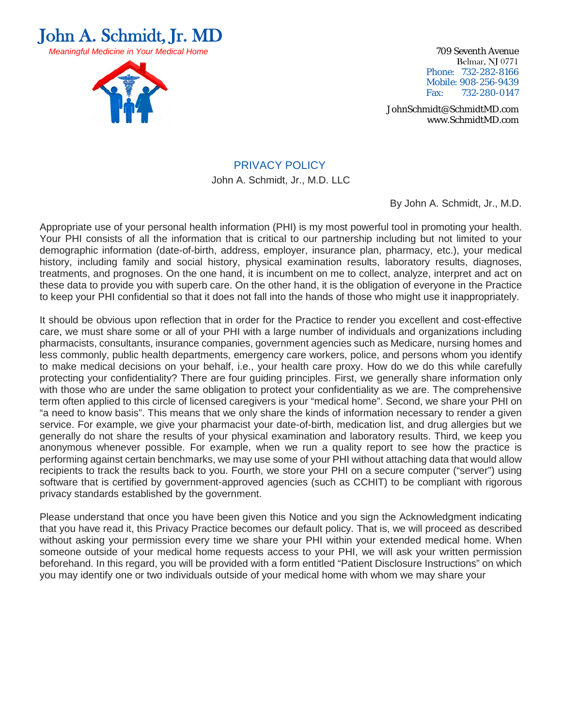



Belmar, NJ 0771 Phone: 732-282-8166 Mobile: 908-256-9439 Fax: 732-280-0147

JohnSchmidt@SchmidtMD.com www.SchmidtMD.com

## PRIVACY POLICY

John A. Schmidt, Jr., M.D. LLC

By John A. Schmidt, Jr., M.D.

Appropriate use of your personal health information (PHI) is my most powerful tool in promoting your health. Your PHI consists of all the information that is critical to our partnership including but not limited to your demographic information (date-of-birth, address, employer, insurance plan, pharmacy, etc.), your medical history, including family and social history, physical examination results, laboratory results, diagnoses, treatments, and prognoses. On the one hand, it is incumbent on me to collect, analyze, interpret and act on these data to provide you with superb care. On the other hand, it is the obligation of everyone in the Practice to keep your PHI confidential so that it does not fall into the hands of those who might use it inappropriately.

It should be obvious upon reflection that in order for the Practice to render you excellent and cost-effective care, we must share some or all of your PHI with a large number of individuals and organizations including pharmacists, consultants, insurance companies, government agencies such as Medicare, nursing homes and less commonly, public health departments, emergency care workers, police, and persons whom you identify to make medical decisions on your behalf, i.e., your health care proxy. How do we do this while carefully protecting your confidentiality? There are four guiding principles. First, we generally share information only with those who are under the same obligation to protect your confidentiality as we are. The comprehensive term often applied to this circle of licensed caregivers is your "medical home". Second, we share your PHI on "a need to know basis". This means that we only share the kinds of information necessary to render a given service. For example, we give your pharmacist your date-of-birth, medication list, and drug allergies but we generally do not share the results of your physical examination and laboratory results. Third, we keep you anonymous whenever possible. For example, when we run a quality report to see how the practice is performing against certain benchmarks, we may use some of your PHI without attaching data that would allow recipients to track the results back to you. Fourth, we store your PHI on a secure computer ("server") using software that is certified by government-approved agencies (such as CCHIT) to be compliant with rigorous privacy standards established by the government.

Please understand that once you have been given this Notice and you sign the Acknowledgment indicating that you have read it, this Privacy Practice becomes our default policy. That is, we will proceed as described without asking your permission every time we share your PHI within your extended medical home. When someone outside of your medical home requests access to your PHI, we will ask your written permission beforehand. In this regard, you will be provided with a form entitled "Patient Disclosure Instructions" on which you may identify one or two individuals outside of your medical home with whom we may share your